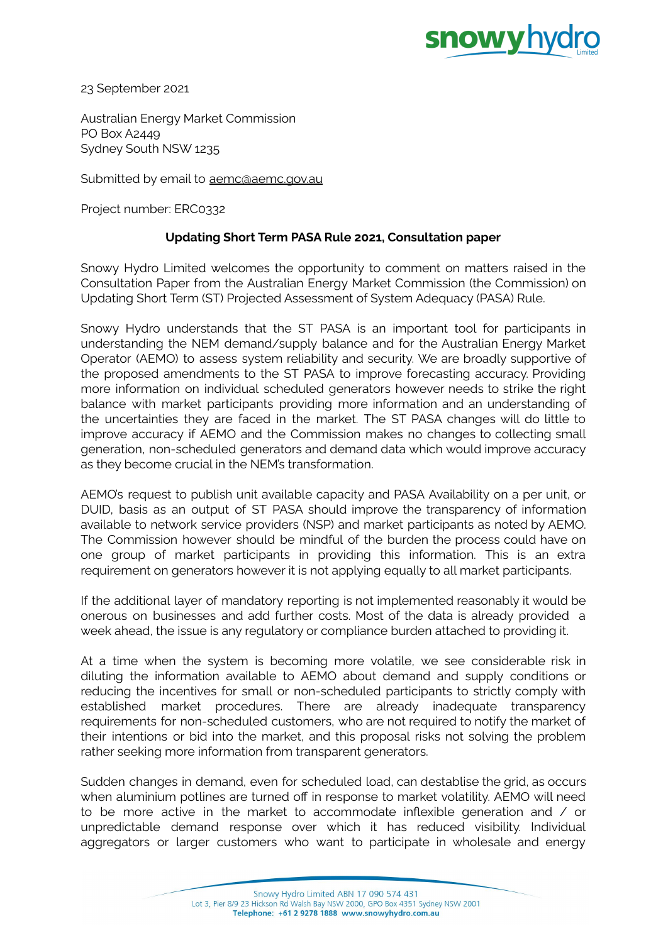

23 September 2021

Australian Energy Market Commission PO Box A2449 Sydney South NSW 1235

Submitted by email to [aemc@aemc.gov.au](mailto:aemc@aemc.gov.au)

Project number: ERC0332

## **Updating Short Term PASA Rule 2021, Consultation paper**

Snowy Hydro Limited welcomes the opportunity to comment on matters raised in the Consultation Paper from the Australian Energy Market Commission (the Commission) on Updating Short Term (ST) Projected Assessment of System Adequacy (PASA) Rule.

Snowy Hydro understands that the ST PASA is an important tool for participants in understanding the NEM demand/supply balance and for the Australian Energy Market Operator (AEMO) to assess system reliability and security. We are broadly supportive of the proposed amendments to the ST PASA to improve forecasting accuracy. Providing more information on individual scheduled generators however needs to strike the right balance with market participants providing more information and an understanding of the uncertainties they are faced in the market. The ST PASA changes will do little to improve accuracy if AEMO and the Commission makes no changes to collecting small generation, non-scheduled generators and demand data which would improve accuracy as they become crucial in the NEM's transformation.

AEMO's request to publish unit available capacity and PASA Availability on a per unit, or DUID, basis as an output of ST PASA should improve the transparency of information available to network service providers (NSP) and market participants as noted by AEMO. The Commission however should be mindful of the burden the process could have on one group of market participants in providing this information. This is an extra requirement on generators however it is not applying equally to all market participants.

If the additional layer of mandatory reporting is not implemented reasonably it would be onerous on businesses and add further costs. Most of the data is already provided a week ahead, the issue is any regulatory or compliance burden attached to providing it.

At a time when the system is becoming more volatile, we see considerable risk in diluting the information available to AEMO about demand and supply conditions or reducing the incentives for small or non-scheduled participants to strictly comply with established market procedures. There are already inadequate transparency requirements for non-scheduled customers, who are not required to notify the market of their intentions or bid into the market, and this proposal risks not solving the problem rather seeking more information from transparent generators.

Sudden changes in demand, even for scheduled load, can destablise the grid, as occurs when aluminium potlines are turned off in response to market volatility. AEMO will need to be more active in the market to accommodate inflexible generation and / or unpredictable demand response over which it has reduced visibility. Individual aggregators or larger customers who want to participate in wholesale and energy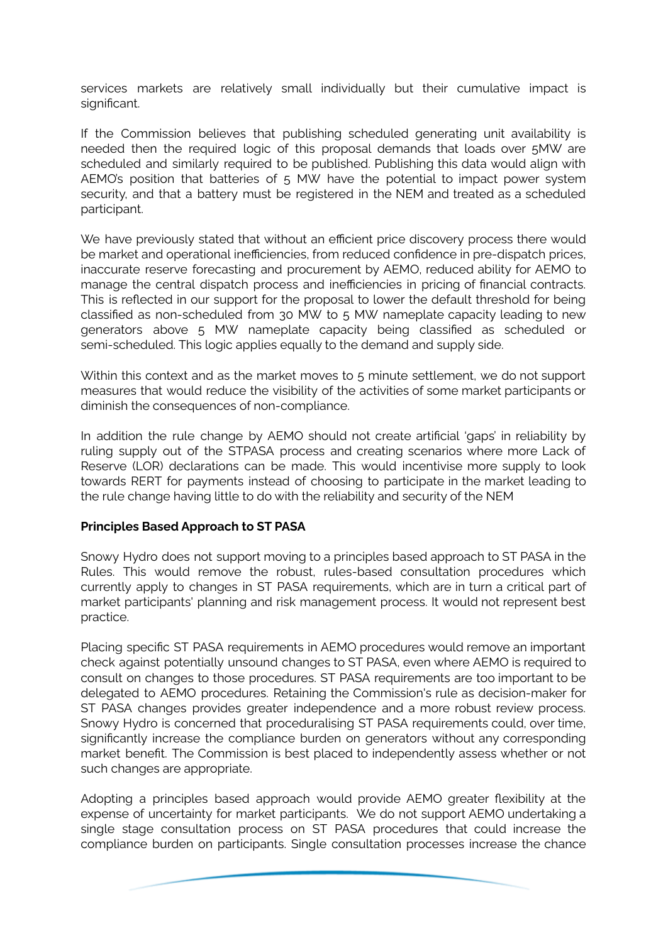services markets are relatively small individually but their cumulative impact is significant.

If the Commission believes that publishing scheduled generating unit availability is needed then the required logic of this proposal demands that loads over 5MW are scheduled and similarly required to be published. Publishing this data would align with AEMO's position that batteries of 5 MW have the potential to impact power system security, and that a battery must be registered in the NEM and treated as a scheduled participant.

We have previously stated that without an efficient price discovery process there would be market and operational inefficiencies, from reduced confidence in pre-dispatch prices, inaccurate reserve forecasting and procurement by AEMO, reduced ability for AEMO to manage the central dispatch process and inefficiencies in pricing of financial contracts. This is reflected in our support for the proposal to lower the default threshold for being classified as non-scheduled from 30 MW to 5 MW nameplate capacity leading to new generators above 5 MW nameplate capacity being classified as scheduled or semi-scheduled. This logic applies equally to the demand and supply side.

Within this context and as the market moves to 5 minute settlement, we do not support measures that would reduce the visibility of the activities of some market participants or diminish the consequences of non-compliance.

In addition the rule change by AEMO should not create artificial 'gaps' in reliability by ruling supply out of the STPASA process and creating scenarios where more Lack of Reserve (LOR) declarations can be made. This would incentivise more supply to look towards RERT for payments instead of choosing to participate in the market leading to the rule change having little to do with the reliability and security of the NEM

## **Principles Based Approach to ST PASA**

Snowy Hydro does not support moving to a principles based approach to ST PASA in the Rules. This would remove the robust, rules-based consultation procedures which currently apply to changes in ST PASA requirements, which are in turn a critical part of market participants' planning and risk management process. It would not represent best practice.

Placing specific ST PASA requirements in AEMO procedures would remove an important check against potentially unsound changes to ST PASA, even where AEMO is required to consult on changes to those procedures. ST PASA requirements are too important to be delegated to AEMO procedures. Retaining the Commission's rule as decision-maker for ST PASA changes provides greater independence and a more robust review process. Snowy Hydro is concerned that proceduralising ST PASA requirements could, over time, significantly increase the compliance burden on generators without any corresponding market benefit. The Commission is best placed to independently assess whether or not such changes are appropriate.

Adopting a principles based approach would provide AEMO greater flexibility at the expense of uncertainty for market participants. We do not support AEMO undertaking a single stage consultation process on ST PASA procedures that could increase the compliance burden on participants. Single consultation processes increase the chance